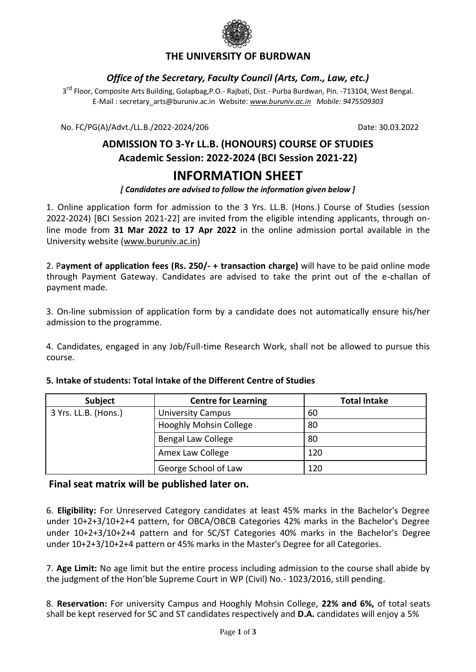

### **THE UNIVERSITY OF BURDWAN**

#### *Office of the Secretary, Faculty Council (Arts, Com., Law, etc.)*

3<sup>rd</sup> Floor, Composite Arts Building, Golapbag,P.O.- Rajbati, Dist.- Purba Burdwan, Pin. -713104, West Bengal. E-Mail : [secretary\\_arts@buruniv.ac.in](mailto:secretary_arts@buruniv.ac.in) Website: *[www.buruniv.ac.in](http://www.buruniv.ac.in/) Mobile: 9475509303*

No. FC/PG(A)/Advt./LL.B./2022-2024/206 Date: 30.03.2022

# **ADMISSION TO 3-Yr LL.B. (HONOURS) COURSE OF STUDIES Academic Session: 2022-2024 (BCI Session 2021-22)**

## **INFORMATION SHEET**

*[ Candidates are advised to follow the information given below ]*

1. Online application form for admission to the 3 Yrs. LL.B. (Hons.) Course of Studies (session 2022-2024) [BCI Session 2021-22] are invited from the eligible intending applicants, through online mode from **31 Mar 2022 to 17 Apr 2022** in the online admission portal available in the University website [\(www.buruniv.ac.in\)](http://www.buruniv.ac.in/)

2. P**ayment of application fees (Rs. 250/- + transaction charge)** will have to be paid online mode through Payment Gateway. Candidates are advised to take the print out of the e-challan of payment made.

3. On-line submission of application form by a candidate does not automatically ensure his/her admission to the programme.

4. Candidates, engaged in any Job/Full-time Research Work, shall not be allowed to pursue this course.

| Subject              | <b>Centre for Learning</b>    | <b>Total Intake</b> |
|----------------------|-------------------------------|---------------------|
| 3 Yrs. LL.B. (Hons.) | <b>University Campus</b>      | 60                  |
|                      | <b>Hooghly Mohsin College</b> | 80                  |
|                      | <b>Bengal Law College</b>     | 80                  |
|                      | Amex Law College              | 120                 |
|                      | George School of Law          | 120                 |

#### **5. Intake of students: Total Intake of the Different Centre of Studies**

#### **Final seat matrix will be published later on.**

6. **Eligibility:** For Unreserved Category candidates at least 45% marks in the Bachelor's Degree under 10+2+3/10+2+4 pattern, for OBCA/OBCB Categories 42% marks in the Bachelor's Degree under 10+2+3/10+2+4 pattern and for SC/ST Categories 40% marks in the Bachelor's Degree under 10+2+3/10+2+4 pattern or 45% marks in the Master's Degree for all Categories.

7. **Age Limit:** No age limit but the entire process including admission to the course shall abide by the judgment of the Hon'ble Supreme Court in WP (Civil) No.- 1023/2016, still pending.

8. **Reservation:** For university Campus and Hooghly Mohsin College, **22% and 6%,** of total seats shall be kept reserved for SC and ST candidates respectively and **D.A.** candidates will enjoy a 5%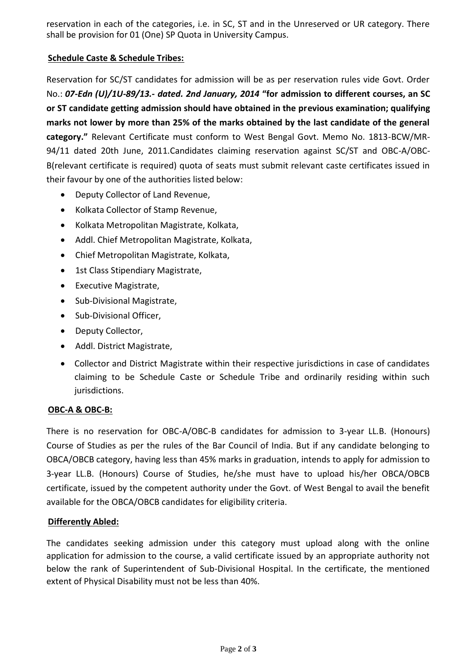reservation in each of the categories, i.e. in SC, ST and in the Unreserved or UR category. There shall be provision for 01 (One) SP Quota in University Campus.

#### **Schedule Caste & Schedule Tribes:**

Reservation for SC/ST candidates for admission will be as per reservation rules vide Govt. Order No.: *07-Edn (U)/1U-89/13.- dated. 2nd January, 2014* **"for admission to different courses, an SC or ST candidate getting admission should have obtained in the previous examination; qualifying marks not lower by more than 25% of the marks obtained by the last candidate of the general category."** Relevant Certificate must conform to West Bengal Govt. Memo No. 1813-BCW/MR-94/11 dated 20th June, 2011.Candidates claiming reservation against SC/ST and OBC-A/OBC-B(relevant certificate is required) quota of seats must submit relevant caste certificates issued in their favour by one of the authorities listed below:

- Deputy Collector of Land Revenue,
- Kolkata Collector of Stamp Revenue,
- Kolkata Metropolitan Magistrate, Kolkata,
- Addl. Chief Metropolitan Magistrate, Kolkata,
- Chief Metropolitan Magistrate, Kolkata,
- 1st Class Stipendiary Magistrate,
- Executive Magistrate,
- Sub-Divisional Magistrate,
- Sub-Divisional Officer,
- Deputy Collector,
- Addl. District Magistrate,
- Collector and District Magistrate within their respective jurisdictions in case of candidates claiming to be Schedule Caste or Schedule Tribe and ordinarily residing within such jurisdictions.

#### **OBC-A & OBC-B:**

There is no reservation for OBC-A/OBC-B candidates for admission to 3-year LL.B. (Honours) Course of Studies as per the rules of the Bar Council of India. But if any candidate belonging to OBCA/OBCB category, having less than 45% marks in graduation, intends to apply for admission to 3-year LL.B. (Honours) Course of Studies, he/she must have to upload his/her OBCA/OBCB certificate, issued by the competent authority under the Govt. of West Bengal to avail the benefit available for the OBCA/OBCB candidates for eligibility criteria.

#### **Differently Abled:**

The candidates seeking admission under this category must upload along with the online application for admission to the course, a valid certificate issued by an appropriate authority not below the rank of Superintendent of Sub-Divisional Hospital. In the certificate, the mentioned extent of Physical Disability must not be less than 40%.